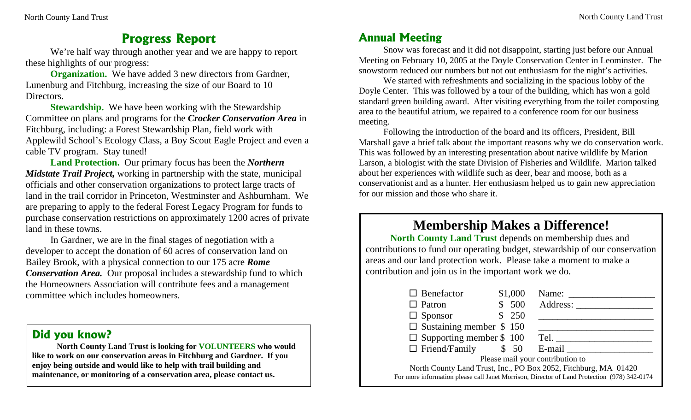## **Progress Report**

We're half way through another year and we are happy to report these highlights of our progress:

**Organization.** We have added 3 new directors from Gardner, Lunenburg and Fitchburg, increasing the size of our Board to 10 Directors.

**Stewardship.** We have been working with the Stewardship Committee on plans and programs for the *Crocker Conservation Area* in Fitchburg, including: a Forest Stewardship Plan, field work with Applewild School's Ecology Class, a Boy Scout Eagle Project and even a cable TV program. Stay tuned!

**Land Protection.** Our primary focus has been the *Northern Midstate Trail Project,* working in partnership with the state, municipal officials and other conservation organizations to protect large tracts of land in the trail corridor in Princeton, Westminster and Ashburnham. We are preparing to apply to the federal Forest Legacy Program for funds to purchase conservation restrictions on approximately 1200 acres of private land in these towns.

In Gardner, we are in the final stages of negotiation with a developer to accept the donation of 60 acres of conservation land on Bailey Brook, with a physical connection to our 175 acre *Rome Conservation Area.* Our proposal includes a stewardship fund to which the Homeowners Association will contribute fees and a management committee which includes homeowners.

#### **Did you know?**

**North County Land Trust is looking for VOLUNTEERS who would like to work on our conservation areas in Fitchburg and Gardner. If you enjoy being outside and would like to help with trail building and maintenance, or monitoring of a conservation area, please contact us.** 

### **Annual Meeting**

Snow was forecast and it did not disappoint, starting just before our Annual Meeting on February 10, 2005 at the Doyle Conservation Center in Leominster. The snowstorm reduced our numbers but not out enthusiasm for the night's activities.

 We started with refreshments and socializing in the spacious lobby of the Doyle Center. This was followed by a tour of the building, which has won a gold standard green building award. After visiting everything from the toilet composting area to the beautiful atrium, we repaired to a conference room for our business meeting.

Following the introduction of the board and its officers, President, Bill Marshall gave a brief talk about the important reasons why we do conservation work. This was followed by an interesting presentation about native wildlife by Marion Larson, a biologist with the state Division of Fisheries and Wildlife. Marion talked about her experiences with wildlife such as deer, bear and moose, both as a conservationist and as a hunter. Her enthusiasm helped us to gain new appreciation for our mission and those who share it.

# **Membership Makes a Difference!**

**North County Land Trust** depends on membership dues and contributions to fund our operating budget, stewardship of our conservation areas and our land protection work. Please take a moment to make a contribution and join us in the important work we do.

| $\Box$ Benefactor                                                                           |  | \$1,000 | Name:    |
|---------------------------------------------------------------------------------------------|--|---------|----------|
| $\Box$ Patron                                                                               |  | \$500   | Address: |
| $\Box$ Sponsor                                                                              |  | 250     |          |
| $\Box$ Sustaining member \$ 150                                                             |  |         |          |
| $\Box$ Supporting member \$ 100                                                             |  |         | Tel.     |
| $\Box$ Friend/Family \$ 50                                                                  |  |         | E-mail   |
| Please mail your contribution to                                                            |  |         |          |
| North County Land Trust, Inc., PO Box 2052, Fitchburg, MA 01420                             |  |         |          |
| For more information please call Janet Morrison, Director of Land Protection (978) 342-0174 |  |         |          |